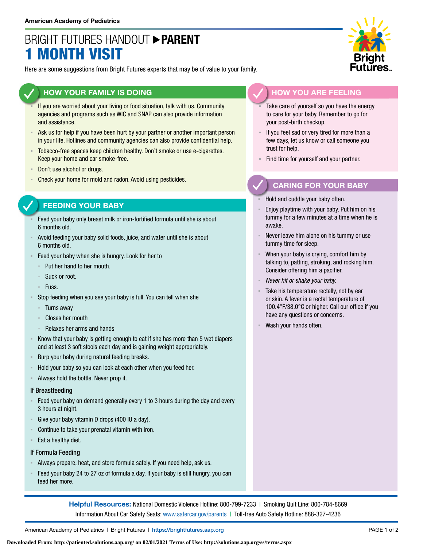# BRIGHT FUTURES HANDOUT **PARENT MONTH VISIT**

Here are some suggestions from Bright Futures experts that may be of value to your family.

## **HOW YOUR FAMILY IS DOING**

- If you are worried about your living or food situation, talk with us. Community agencies and programs such as WIC and SNAP can also provide information and assistance.
- Ask us for help if you have been hurt by your partner or another important person in your life. Hotlines and community agencies can also provide confidential help.
- Tobacco-free spaces keep children healthy. Don't smoke or use e-cigarettes. Keep your home and car smoke-free.
- Don't use alcohol or drugs.
- Check your home for mold and radon. Avoid using pesticides.

### **FEEDING YOUR BABY**

- Feed your baby only breast milk or iron-fortified formula until she is about 6 months old.
- Avoid feeding your baby solid foods, juice, and water until she is about 6 months old.
- Feed your baby when she is hungry. Look for her to
	- Put her hand to her mouth.
	- Suck or root.
	- Fuss.
- Stop feeding when you see your baby is full. You can tell when she
	- Turns away
	- Closes her mouth
	- Relaxes her arms and hands
- Know that your baby is getting enough to eat if she has more than 5 wet diapers and at least 3 soft stools each day and is gaining weight appropriately.
- Burp your baby during natural feeding breaks.
- Hold your baby so you can look at each other when you feed her.
- Always hold the bottle. Never prop it.

#### If Breastfeeding

- Feed your baby on demand generally every 1 to 3 hours during the day and every 3 hours at night.
- Give your baby vitamin D drops (400 IU a day).
- Continue to take your prenatal vitamin with iron.
- Eat a healthy diet.

#### If Formula Feeding

- Always prepare, heat, and store formula safely. If you need help, ask us.
- Feed your baby 24 to 27 oz of formula a day. If your baby is still hungry, you can feed her more.

**Helpful Resources:** National Domestic Violence Hotline: 800-799-7233 | Smoking Quit Line: 800-784-8669 Information About Car Safety Seats: [www.safercar.gov/parents](https://www.nhtsa.gov/parents-and-caregivers) | Toll-free Auto Safety Hotline: 888-327-4236



## **HOW YOU ARE FEELING**

- Take care of yourself so you have the energy to care for your baby. Remember to go for your post-birth checkup.
- If you feel sad or very tired for more than a few days, let us know or call someone you trust for help.
- Find time for yourself and your partner.

## **CARING FOR YOUR BABY**

- Hold and cuddle your baby often.
- Enjoy playtime with your baby. Put him on his tummy for a few minutes at a time when he is awake.
- Never leave him alone on his tummy or use tummy time for sleep.
- When your baby is crying, comfort him by talking to, patting, stroking, and rocking him. Consider offering him a pacifier.
- *Never hit or shake your baby.*
- Take his temperature rectally, not by ear or skin. A fever is a rectal temperature of 100.4°F/38.0°C or higher. Call our office if you have any questions or concerns.
- Wash your hands often.

American Academy of Pediatrics | Bright Futures | https:/[/brightfutures.aap.org](https://brightfutures.aap.org/Pages/default.aspx) PAGE 1 of 2